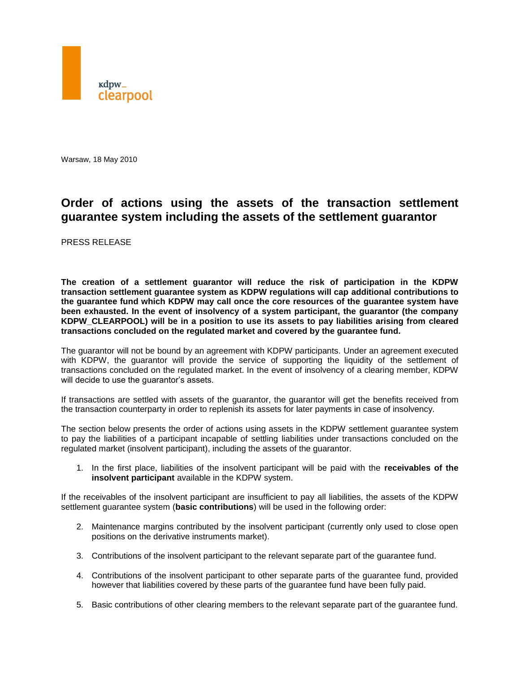

Warsaw, 18 May 2010

## **Order of actions using the assets of the transaction settlement guarantee system including the assets of the settlement guarantor**

PRESS RELEASE

**The creation of a settlement guarantor will reduce the risk of participation in the KDPW transaction settlement guarantee system as KDPW regulations will cap additional contributions to the guarantee fund which KDPW may call once the core resources of the guarantee system have been exhausted. In the event of insolvency of a system participant, the guarantor (the company KDPW\_CLEARPOOL) will be in a position to use its assets to pay liabilities arising from cleared transactions concluded on the regulated market and covered by the guarantee fund.**

The guarantor will not be bound by an agreement with KDPW participants. Under an agreement executed with KDPW, the guarantor will provide the service of supporting the liquidity of the settlement of transactions concluded on the regulated market. In the event of insolvency of a clearing member, KDPW will decide to use the guarantor's assets.

If transactions are settled with assets of the guarantor, the guarantor will get the benefits received from the transaction counterparty in order to replenish its assets for later payments in case of insolvency.

The section below presents the order of actions using assets in the KDPW settlement guarantee system to pay the liabilities of a participant incapable of settling liabilities under transactions concluded on the regulated market (insolvent participant), including the assets of the guarantor.

1. In the first place, liabilities of the insolvent participant will be paid with the **receivables of the insolvent participant** available in the KDPW system.

If the receivables of the insolvent participant are insufficient to pay all liabilities, the assets of the KDPW settlement guarantee system (**basic contributions**) will be used in the following order:

- 2. Maintenance margins contributed by the insolvent participant (currently only used to close open positions on the derivative instruments market).
- 3. Contributions of the insolvent participant to the relevant separate part of the guarantee fund.
- 4. Contributions of the insolvent participant to other separate parts of the guarantee fund, provided however that liabilities covered by these parts of the guarantee fund have been fully paid.
- 5. Basic contributions of other clearing members to the relevant separate part of the guarantee fund.